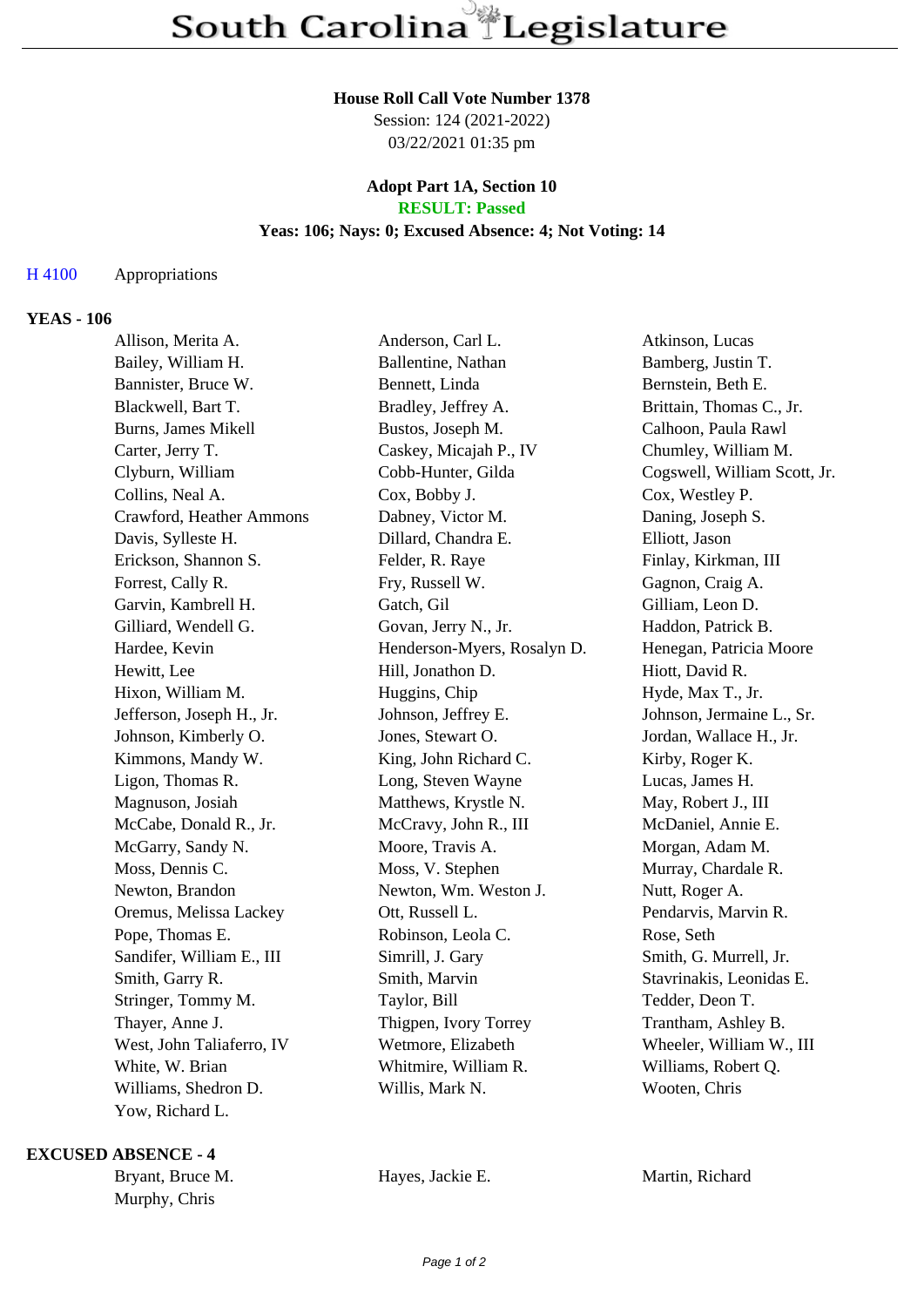#### **House Roll Call Vote Number 1378**

Session: 124 (2021-2022) 03/22/2021 01:35 pm

#### **Adopt Part 1A, Section 10 RESULT: Passed**

# **Yeas: 106; Nays: 0; Excused Absence: 4; Not Voting: 14**

### H 4100 Appropriations

## **YEAS - 106**

| Allison, Merita A.        |                            | Anderson, Carl L.           | Atkinson, Lucas              |
|---------------------------|----------------------------|-----------------------------|------------------------------|
|                           | Bailey, William H.         | Ballentine, Nathan          | Bamberg, Justin T.           |
|                           | Bannister, Bruce W.        | Bennett, Linda              | Bernstein, Beth E.           |
|                           | Blackwell, Bart T.         | Bradley, Jeffrey A.         | Brittain, Thomas C., Jr.     |
|                           | <b>Burns, James Mikell</b> | Bustos, Joseph M.           | Calhoon, Paula Rawl          |
| Carter, Jerry T.          |                            | Caskey, Micajah P., IV      | Chumley, William M.          |
|                           | Clyburn, William           | Cobb-Hunter, Gilda          | Cogswell, William Scott, Jr. |
|                           | Collins, Neal A.           | Cox, Bobby J.               | Cox, Westley P.              |
|                           | Crawford, Heather Ammons   | Dabney, Victor M.           | Daning, Joseph S.            |
|                           | Davis, Sylleste H.         | Dillard, Chandra E.         | Elliott, Jason               |
|                           | Erickson, Shannon S.       | Felder, R. Raye             | Finlay, Kirkman, III         |
|                           | Forrest, Cally R.          | Fry, Russell W.             | Gagnon, Craig A.             |
|                           | Garvin, Kambrell H.        | Gatch, Gil                  | Gilliam, Leon D.             |
|                           | Gilliard, Wendell G.       | Govan, Jerry N., Jr.        | Haddon, Patrick B.           |
| Hardee, Kevin             |                            | Henderson-Myers, Rosalyn D. | Henegan, Patricia Moore      |
| Hewitt, Lee               |                            | Hill, Jonathon D.           | Hiott, David R.              |
|                           | Hixon, William M.          | Huggins, Chip               | Hyde, Max T., Jr.            |
|                           | Jefferson, Joseph H., Jr.  | Johnson, Jeffrey E.         | Johnson, Jermaine L., Sr.    |
|                           | Johnson, Kimberly O.       | Jones, Stewart O.           | Jordan, Wallace H., Jr.      |
|                           | Kimmons, Mandy W.          | King, John Richard C.       | Kirby, Roger K.              |
|                           | Ligon, Thomas R.           | Long, Steven Wayne          | Lucas, James H.              |
|                           | Magnuson, Josiah           | Matthews, Krystle N.        | May, Robert J., III          |
|                           | McCabe, Donald R., Jr.     | McCravy, John R., III       | McDaniel, Annie E.           |
|                           | McGarry, Sandy N.          | Moore, Travis A.            | Morgan, Adam M.              |
|                           | Moss, Dennis C.            | Moss, V. Stephen            | Murray, Chardale R.          |
|                           | Newton, Brandon            | Newton, Wm. Weston J.       | Nutt, Roger A.               |
|                           | Oremus, Melissa Lackey     | Ott, Russell L.             | Pendarvis, Marvin R.         |
|                           | Pope, Thomas E.            | Robinson, Leola C.          | Rose, Seth                   |
|                           | Sandifer, William E., III  | Simrill, J. Gary            | Smith, G. Murrell, Jr.       |
|                           | Smith, Garry R.            | Smith, Marvin               | Stavrinakis, Leonidas E.     |
|                           | Stringer, Tommy M.         | Taylor, Bill                | Tedder, Deon T.              |
| Thayer, Anne J.           |                            | Thigpen, Ivory Torrey       | Trantham, Ashley B.          |
| West, John Taliaferro, IV |                            | Wetmore, Elizabeth          | Wheeler, William W., III     |
|                           | White, W. Brian            | Whitmire, William R.        | Williams, Robert Q.          |
|                           | Williams, Shedron D.       | Willis, Mark N.             | Wooten, Chris                |
|                           | Yow, Richard L.            |                             |                              |

#### **EXCUSED ABSENCE - 4**

Murphy, Chris

Bryant, Bruce M. **Hayes, Jackie E.** Martin, Richard